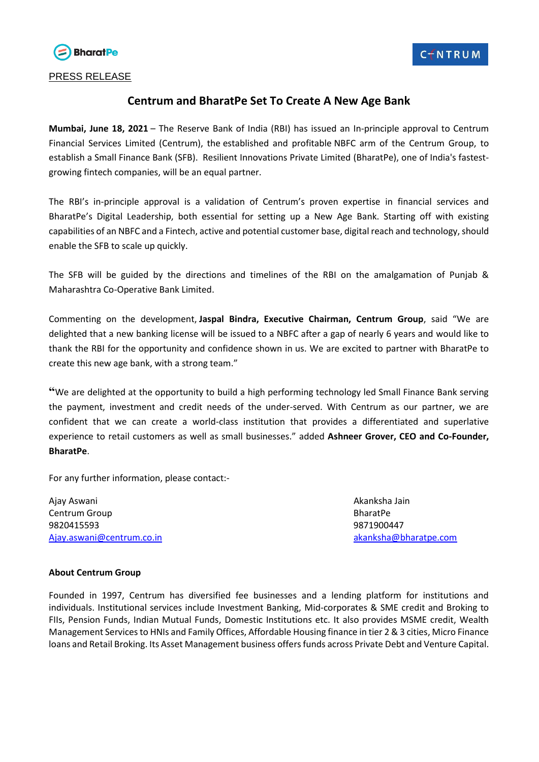

## **Centrum and BharatPe Set To Create A New Age Bank**

**Mumbai, June 18, 2021** – The Reserve Bank of India (RBI) has issued an In-principle approval to Centrum Financial Services Limited (Centrum), the established and profitable NBFC arm of the Centrum Group, to establish a Small Finance Bank (SFB). Resilient Innovations Private Limited (BharatPe), one of India's fastestgrowing fintech companies, will be an equal partner.

The RBI's in-principle approval is a validation of Centrum's proven expertise in financial services and BharatPe's Digital Leadership, both essential for setting up a New Age Bank. Starting off with existing capabilities of an NBFC and a Fintech, active and potential customer base, digital reach and technology, should enable the SFB to scale up quickly.

The SFB will be guided by the directions and timelines of the RBI on the amalgamation of Punjab & Maharashtra Co-Operative Bank Limited.

Commenting on the development, **Jaspal Bindra, Executive Chairman, Centrum Group**, said "We are delighted that a new banking license will be issued to a NBFC after a gap of nearly 6 years and would like to thank the RBI for the opportunity and confidence shown in us. We are excited to partner with BharatPe to create this new age bank, with a strong team."

**"**We are delighted at the opportunity to build a high performing technology led Small Finance Bank serving the payment, investment and credit needs of the under-served. With Centrum as our partner, we are confident that we can create a world-class institution that provides a differentiated and superlative experience to retail customers as well as small businesses." added **Ashneer Grover, CEO and Co-Founder, BharatPe**.

For any further information, please contact:-

Ajay Aswani Akanksha Jain Centrum Group **BharatPe** 9820415593 9871900447 [Ajay.aswani@centrum.co.in](mailto:Ajay.aswani@centrum.co.in) [akanksha@bharatpe.com](mailto:akanksha@bharatpe.com)

## **About Centrum Group**

Founded in 1997, Centrum has diversified fee businesses and a lending platform for institutions and individuals. Institutional services include Investment Banking, Mid-corporates & SME credit and Broking to FIIs, Pension Funds, Indian Mutual Funds, Domestic Institutions etc. It also provides MSME credit, Wealth Management Services to HNIs and Family Offices, Affordable Housing finance in tier 2 & 3 cities, Micro Finance loans and Retail Broking. Its Asset Management business offers funds across Private Debt and Venture Capital.